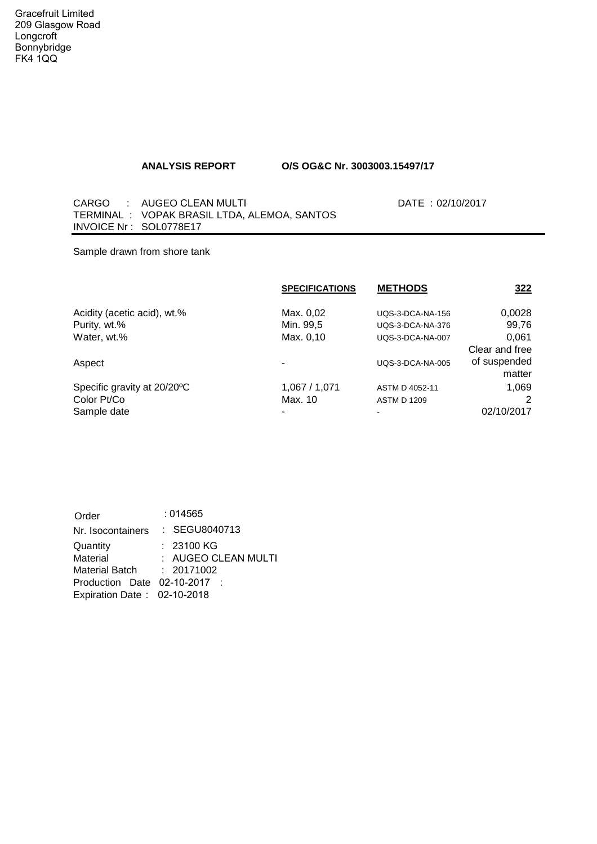## **ANALYSIS REPORT O/S OG&C Nr. 3003003.15497/17**

CARGO : AUGEO CLEAN MULTI TERMINAL : VOPAK BRASIL LTDA, ALEMOA, SANTOS INVOICE Nr : SOL0778E17

DATE : 02/10/2017

Sample drawn from shore tank

| <b>SPECIFICATIONS</b> | <b>METHODS</b>          | <u>322</u>     |
|-----------------------|-------------------------|----------------|
| Max. 0,02             | UQS-3-DCA-NA-156        | 0,0028         |
| Min. 99,5             | <b>UQS-3-DCA-NA-376</b> | 99,76          |
| Max. 0,10             | UQS-3-DCA-NA-007        | 0.061          |
|                       |                         | Clear and free |
|                       | <b>UQS-3-DCA-NA-005</b> | of suspended   |
|                       |                         | matter         |
| 1,067 / 1,071         | ASTM D 4052-11          | 1,069          |
| Max. 10               | <b>ASTM D 1209</b>      |                |
|                       |                         | 02/10/2017     |
|                       |                         |                |

| Order                        | :014565             |
|------------------------------|---------------------|
| Nr. Isocontainers            | : SEGU8040713       |
| Quantity                     | : 23100 KG          |
| Material                     | : AUGEO CLEAN MULTI |
| <b>Material Batch</b>        | : 20171002          |
| Production Date 02-10-2017 : |                     |
| Expiration Date: 02-10-2018  |                     |